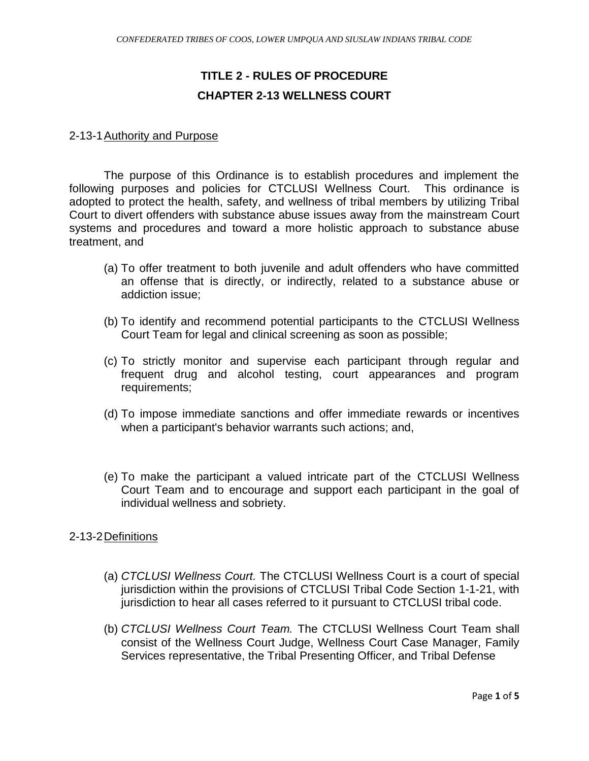# **TITLE 2 - RULES OF PROCEDURE CHAPTER 2-13 WELLNESS COURT**

#### 2-13-1 Authority and Purpose

The purpose of this Ordinance is to establish procedures and implement the following purposes and policies for CTCLUSI Wellness Court. This ordinance is adopted to protect the health, safety, and wellness of tribal members by utilizing Tribal Court to divert offenders with substance abuse issues away from the mainstream Court systems and procedures and toward a more holistic approach to substance abuse treatment, and

- (a) To offer treatment to both juvenile and adult offenders who have committed an offense that is directly, or indirectly, related to a substance abuse or addiction issue;
- (b) To identify and recommend potential participants to the CTCLUSI Wellness Court Team for legal and clinical screening as soon as possible;
- (c) To strictly monitor and supervise each participant through regular and frequent drug and alcohol testing, court appearances and program requirements;
- (d) To impose immediate sanctions and offer immediate rewards or incentives when a participant's behavior warrants such actions; and,
- (e) To make the participant a valued intricate part of the CTCLUSI Wellness Court Team and to encourage and support each participant in the goal of individual wellness and sobriety.

#### 2-13-2Definitions

- (a) *CTCLUSI Wellness Court.* The CTCLUSI Wellness Court is a court of special jurisdiction within the provisions of CTCLUSI Tribal Code Section 1-1-21, with jurisdiction to hear all cases referred to it pursuant to CTCLUSI tribal code.
- (b) *CTCLUSI Wellness Court Team.* The CTCLUSI Wellness Court Team shall consist of the Wellness Court Judge, Wellness Court Case Manager, Family Services representative, the Tribal Presenting Officer, and Tribal Defense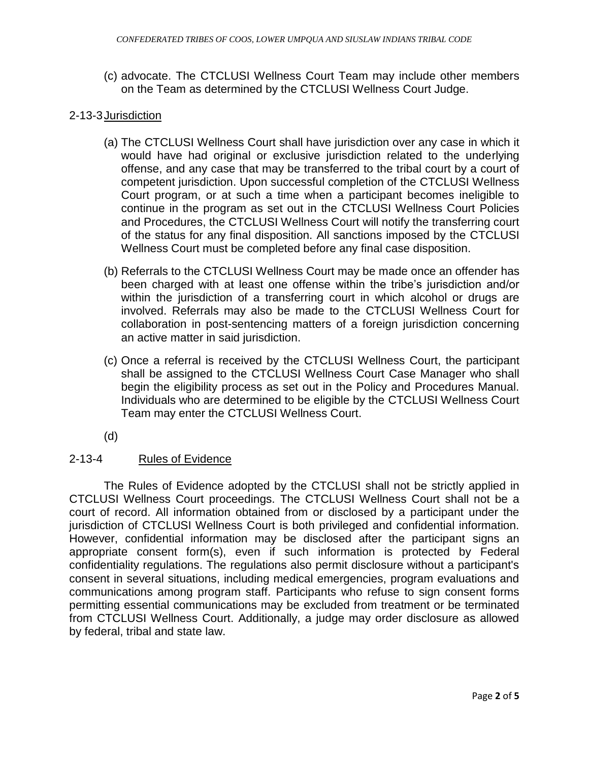(c) advocate. The CTCLUSI Wellness Court Team may include other members on the Team as determined by the CTCLUSI Wellness Court Judge.

## 2-13-3Jurisdiction

- (a) The CTCLUSI Wellness Court shall have jurisdiction over any case in which it would have had original or exclusive jurisdiction related to the underlying offense, and any case that may be transferred to the tribal court by a court of competent jurisdiction. Upon successful completion of the CTCLUSI Wellness Court program, or at such a time when a participant becomes ineligible to continue in the program as set out in the CTCLUSI Wellness Court Policies and Procedures, the CTCLUSI Wellness Court will notify the transferring court of the status for any final disposition. All sanctions imposed by the CTCLUSI Wellness Court must be completed before any final case disposition.
- (b) Referrals to the CTCLUSI Wellness Court may be made once an offender has been charged with at least one offense within the tribe's jurisdiction and/or within the jurisdiction of a transferring court in which alcohol or drugs are involved. Referrals may also be made to the CTCLUSI Wellness Court for collaboration in post-sentencing matters of a foreign jurisdiction concerning an active matter in said jurisdiction.
- (c) Once a referral is received by the CTCLUSI Wellness Court, the participant shall be assigned to the CTCLUSI Wellness Court Case Manager who shall begin the eligibility process as set out in the Policy and Procedures Manual. Individuals who are determined to be eligible by the CTCLUSI Wellness Court Team may enter the CTCLUSI Wellness Court.
- (d)

## 2-13-4 Rules of Evidence

The Rules of Evidence adopted by the CTCLUSI shall not be strictly applied in CTCLUSI Wellness Court proceedings. The CTCLUSI Wellness Court shall not be a court of record. All information obtained from or disclosed by a participant under the jurisdiction of CTCLUSI Wellness Court is both privileged and confidential information. However, confidential information may be disclosed after the participant signs an appropriate consent form(s), even if such information is protected by Federal confidentiality regulations. The regulations also permit disclosure without a participant's consent in several situations, including medical emergencies, program evaluations and communications among program staff. Participants who refuse to sign consent forms permitting essential communications may be excluded from treatment or be terminated from CTCLUSI Wellness Court. Additionally, a judge may order disclosure as allowed by federal, tribal and state law.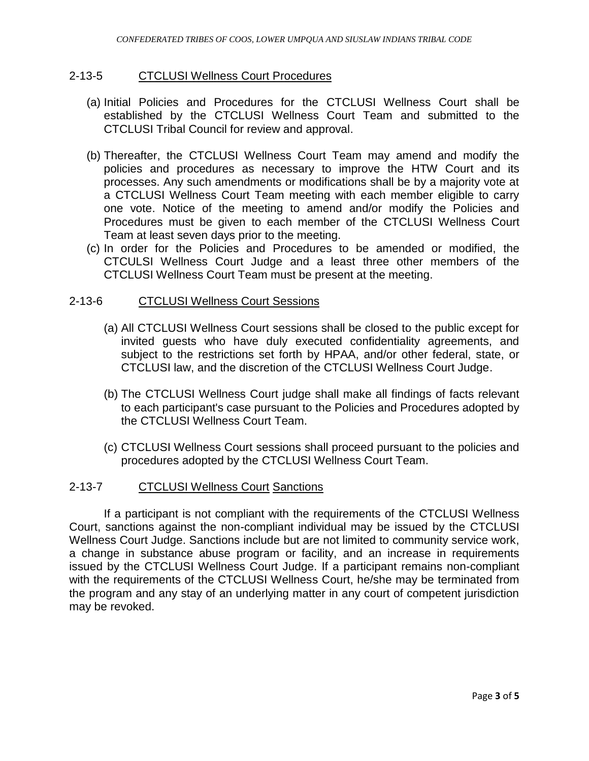#### 2-13-5 CTCLUSI Wellness Court Procedures

- (a) Initial Policies and Procedures for the CTCLUSI Wellness Court shall be established by the CTCLUSI Wellness Court Team and submitted to the CTCLUSI Tribal Council for review and approval.
- (b) Thereafter, the CTCLUSI Wellness Court Team may amend and modify the policies and procedures as necessary to improve the HTW Court and its processes. Any such amendments or modifications shall be by a majority vote at a CTCLUSI Wellness Court Team meeting with each member eligible to carry one vote. Notice of the meeting to amend and/or modify the Policies and Procedures must be given to each member of the CTCLUSI Wellness Court Team at least seven days prior to the meeting.
- (c) In order for the Policies and Procedures to be amended or modified, the CTCULSI Wellness Court Judge and a least three other members of the CTCLUSI Wellness Court Team must be present at the meeting.

#### 2-13-6 CTCLUSI Wellness Court Sessions

- (a) All CTCLUSI Wellness Court sessions shall be closed to the public except for invited guests who have duly executed confidentiality agreements, and subject to the restrictions set forth by HPAA, and/or other federal, state, or CTCLUSI law, and the discretion of the CTCLUSI Wellness Court Judge.
- (b) The CTCLUSI Wellness Court judge shall make all findings of facts relevant to each participant's case pursuant to the Policies and Procedures adopted by the CTCLUSI Wellness Court Team.
- (c) CTCLUSI Wellness Court sessions shall proceed pursuant to the policies and procedures adopted by the CTCLUSI Wellness Court Team.

#### 2-13-7 CTCLUSI Wellness Court Sanctions

If a participant is not compliant with the requirements of the CTCLUSI Wellness Court, sanctions against the non-compliant individual may be issued by the CTCLUSI Wellness Court Judge. Sanctions include but are not limited to community service work, a change in substance abuse program or facility, and an increase in requirements issued by the CTCLUSI Wellness Court Judge. If a participant remains non-compliant with the requirements of the CTCLUSI Wellness Court, he/she may be terminated from the program and any stay of an underlying matter in any court of competent jurisdiction may be revoked.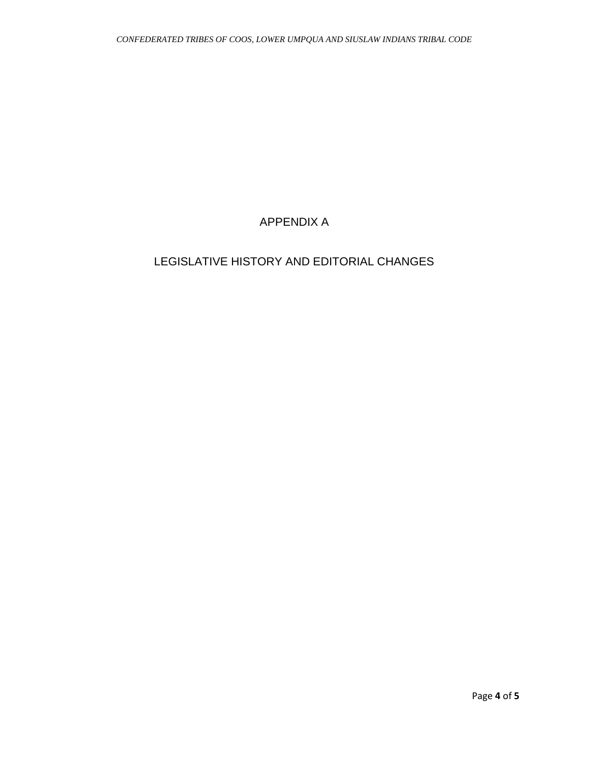## APPENDIX A

## LEGISLATIVE HISTORY AND EDITORIAL CHANGES